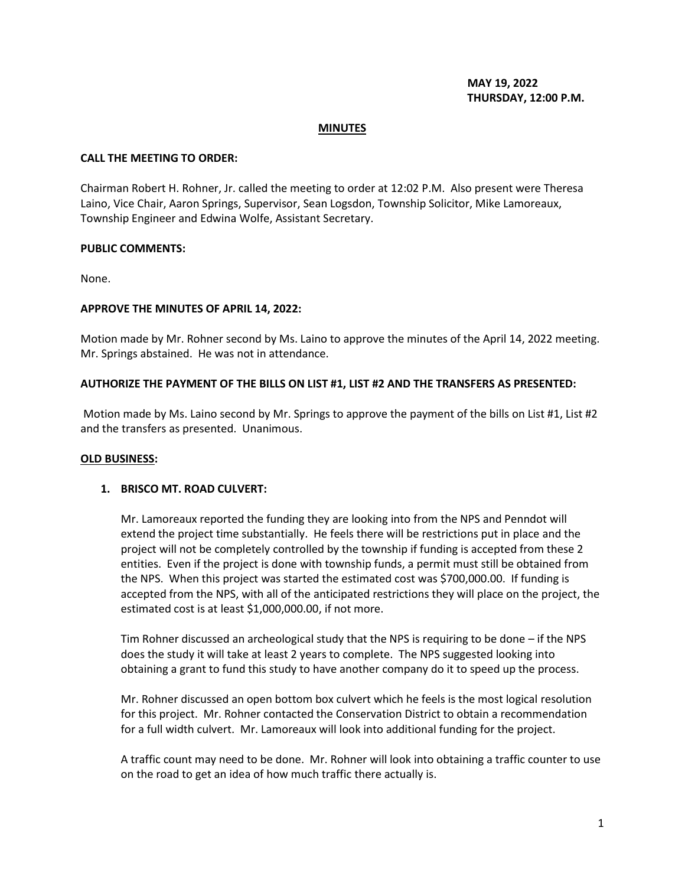**MAY 19, 2022 THURSDAY, 12:00 P.M.**

### **MINUTES**

### **CALL THE MEETING TO ORDER:**

Chairman Robert H. Rohner, Jr. called the meeting to order at 12:02 P.M. Also present were Theresa Laino, Vice Chair, Aaron Springs, Supervisor, Sean Logsdon, Township Solicitor, Mike Lamoreaux, Township Engineer and Edwina Wolfe, Assistant Secretary.

### **PUBLIC COMMENTS:**

None.

### **APPROVE THE MINUTES OF APRIL 14, 2022:**

Motion made by Mr. Rohner second by Ms. Laino to approve the minutes of the April 14, 2022 meeting. Mr. Springs abstained. He was not in attendance.

### **AUTHORIZE THE PAYMENT OF THE BILLS ON LIST #1, LIST #2 AND THE TRANSFERS AS PRESENTED:**

Motion made by Ms. Laino second by Mr. Springs to approve the payment of the bills on List #1, List #2 and the transfers as presented. Unanimous.

#### **OLD BUSINESS:**

### **1. BRISCO MT. ROAD CULVERT:**

Mr. Lamoreaux reported the funding they are looking into from the NPS and Penndot will extend the project time substantially. He feels there will be restrictions put in place and the project will not be completely controlled by the township if funding is accepted from these 2 entities. Even if the project is done with township funds, a permit must still be obtained from the NPS. When this project was started the estimated cost was \$700,000.00. If funding is accepted from the NPS, with all of the anticipated restrictions they will place on the project, the estimated cost is at least \$1,000,000.00, if not more.

Tim Rohner discussed an archeological study that the NPS is requiring to be done – if the NPS does the study it will take at least 2 years to complete. The NPS suggested looking into obtaining a grant to fund this study to have another company do it to speed up the process.

Mr. Rohner discussed an open bottom box culvert which he feels is the most logical resolution for this project. Mr. Rohner contacted the Conservation District to obtain a recommendation for a full width culvert. Mr. Lamoreaux will look into additional funding for the project.

A traffic count may need to be done. Mr. Rohner will look into obtaining a traffic counter to use on the road to get an idea of how much traffic there actually is.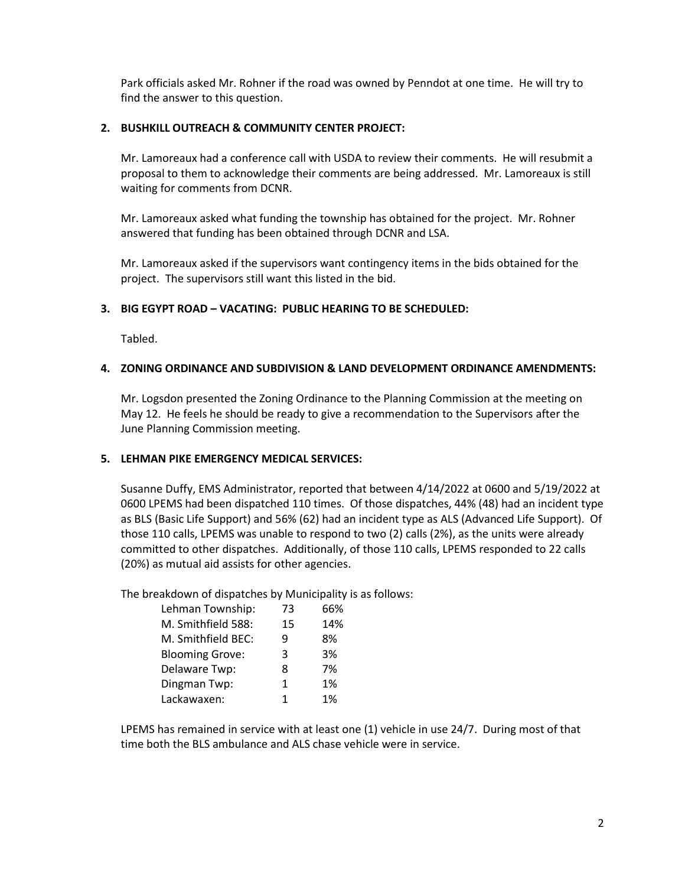Park officials asked Mr. Rohner if the road was owned by Penndot at one time. He will try to find the answer to this question.

# **2. BUSHKILL OUTREACH & COMMUNITY CENTER PROJECT:**

Mr. Lamoreaux had a conference call with USDA to review their comments. He will resubmit a proposal to them to acknowledge their comments are being addressed. Mr. Lamoreaux is still waiting for comments from DCNR.

Mr. Lamoreaux asked what funding the township has obtained for the project. Mr. Rohner answered that funding has been obtained through DCNR and LSA.

Mr. Lamoreaux asked if the supervisors want contingency items in the bids obtained for the project. The supervisors still want this listed in the bid.

# **3. BIG EGYPT ROAD – VACATING: PUBLIC HEARING TO BE SCHEDULED:**

Tabled.

# **4. ZONING ORDINANCE AND SUBDIVISION & LAND DEVELOPMENT ORDINANCE AMENDMENTS:**

Mr. Logsdon presented the Zoning Ordinance to the Planning Commission at the meeting on May 12. He feels he should be ready to give a recommendation to the Supervisors after the June Planning Commission meeting.

# **5. LEHMAN PIKE EMERGENCY MEDICAL SERVICES:**

Susanne Duffy, EMS Administrator, reported that between 4/14/2022 at 0600 and 5/19/2022 at 0600 LPEMS had been dispatched 110 times. Of those dispatches, 44% (48) had an incident type as BLS (Basic Life Support) and 56% (62) had an incident type as ALS (Advanced Life Support). Of those 110 calls, LPEMS was unable to respond to two (2) calls (2%), as the units were already committed to other dispatches. Additionally, of those 110 calls, LPEMS responded to 22 calls (20%) as mutual aid assists for other agencies.

The breakdown of dispatches by Municipality is as follows:

| Lehman Township:       | 73           | 66% |
|------------------------|--------------|-----|
| M. Smithfield 588:     | 15           | 14% |
| M. Smithfield BEC:     | q            | 8%  |
| <b>Blooming Grove:</b> | 3            | 3%  |
| Delaware Twp:          | 8            | 7%  |
| Dingman Twp:           | $\mathbf{1}$ | 1%  |
| Lackawaxen:            | 1            | 1%  |
|                        |              |     |

LPEMS has remained in service with at least one (1) vehicle in use 24/7. During most of that time both the BLS ambulance and ALS chase vehicle were in service.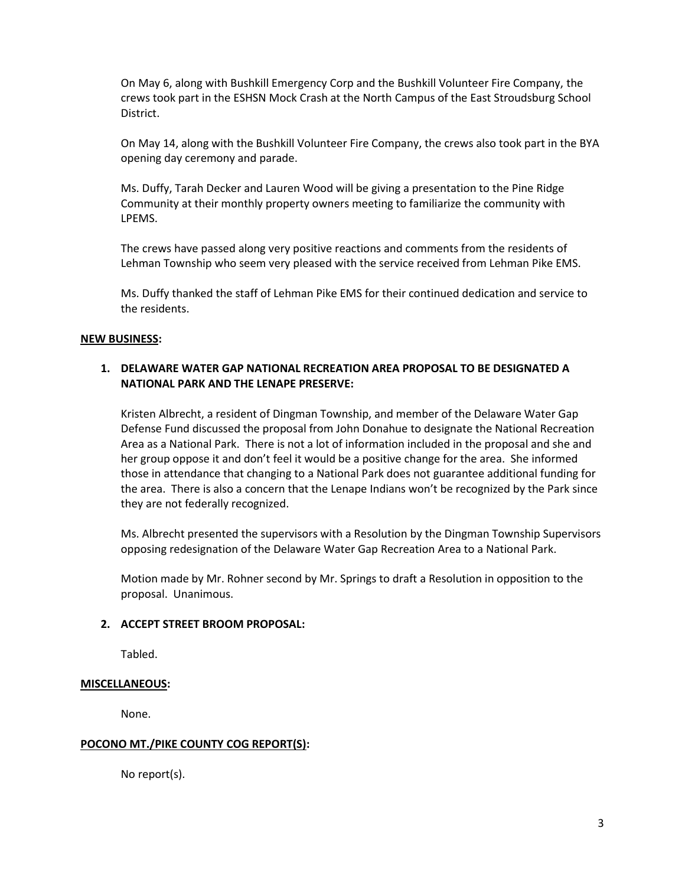On May 6, along with Bushkill Emergency Corp and the Bushkill Volunteer Fire Company, the crews took part in the ESHSN Mock Crash at the North Campus of the East Stroudsburg School District.

On May 14, along with the Bushkill Volunteer Fire Company, the crews also took part in the BYA opening day ceremony and parade.

Ms. Duffy, Tarah Decker and Lauren Wood will be giving a presentation to the Pine Ridge Community at their monthly property owners meeting to familiarize the community with LPEMS.

The crews have passed along very positive reactions and comments from the residents of Lehman Township who seem very pleased with the service received from Lehman Pike EMS.

Ms. Duffy thanked the staff of Lehman Pike EMS for their continued dedication and service to the residents.

### **NEW BUSINESS:**

# **1. DELAWARE WATER GAP NATIONAL RECREATION AREA PROPOSAL TO BE DESIGNATED A NATIONAL PARK AND THE LENAPE PRESERVE:**

Kristen Albrecht, a resident of Dingman Township, and member of the Delaware Water Gap Defense Fund discussed the proposal from John Donahue to designate the National Recreation Area as a National Park. There is not a lot of information included in the proposal and she and her group oppose it and don't feel it would be a positive change for the area. She informed those in attendance that changing to a National Park does not guarantee additional funding for the area. There is also a concern that the Lenape Indians won't be recognized by the Park since they are not federally recognized.

Ms. Albrecht presented the supervisors with a Resolution by the Dingman Township Supervisors opposing redesignation of the Delaware Water Gap Recreation Area to a National Park.

Motion made by Mr. Rohner second by Mr. Springs to draft a Resolution in opposition to the proposal. Unanimous.

### **2. ACCEPT STREET BROOM PROPOSAL:**

Tabled.

### **MISCELLANEOUS:**

None.

### **POCONO MT./PIKE COUNTY COG REPORT(S):**

No report(s).